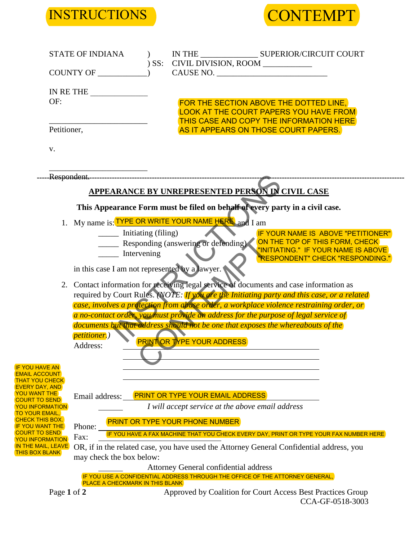



|                                                 | <b>STATE OF INDIANA</b>                        | ) SS:                                      | CIVIL DIVISION, ROOM ___________                                                                                       | IN THE SUPERIOR/CIRCUIT COURT                                                                                               |
|-------------------------------------------------|------------------------------------------------|--------------------------------------------|------------------------------------------------------------------------------------------------------------------------|-----------------------------------------------------------------------------------------------------------------------------|
|                                                 | COUNTY OF                                      |                                            | CAUSE NO.                                                                                                              |                                                                                                                             |
| OF:                                             | IN RETHE                                       |                                            |                                                                                                                        |                                                                                                                             |
|                                                 |                                                |                                            |                                                                                                                        | FOR THE SECTION ABOVE THE DOTTED LINE,<br>LOOK AT THE COURT PAPERS YOU HAVE FROM<br>THIS CASE AND COPY THE INFORMATION HERE |
| Petitioner,                                     |                                                |                                            |                                                                                                                        | AS IT APPEARS ON THOSE COURT PAPERS.                                                                                        |
| V.                                              |                                                |                                            |                                                                                                                        |                                                                                                                             |
|                                                 |                                                |                                            |                                                                                                                        |                                                                                                                             |
|                                                 |                                                |                                            | <b>APPEARANCE BY UNREPRESENTED PERSON IN CIVIL CASE</b>                                                                |                                                                                                                             |
|                                                 |                                                |                                            | This Appearance Form must be filed on behalf of every party in a civil case.                                           |                                                                                                                             |
|                                                 |                                                |                                            | 1. My name is: <b>TYPE OR WRITE YOUR NAME HERE</b> and I am                                                            |                                                                                                                             |
|                                                 | _______ Initiating (filing)                    |                                            |                                                                                                                        | IF YOUR NAME IS ABOVE "PETITIONER"                                                                                          |
|                                                 |                                                |                                            | Responding (answering or defending)                                                                                    | ON THE TOP OF THIS FORM, CHECK<br><b>'INITIATING." IF YOUR NAME IS ABOVE</b>                                                |
|                                                 | _______ Intervening                            |                                            |                                                                                                                        | "RESPONDENT" CHECK "RESPONDING."                                                                                            |
|                                                 | in this case I am not represented by a lawyer. |                                            |                                                                                                                        |                                                                                                                             |
|                                                 |                                                |                                            |                                                                                                                        | 2. Contact information for receiving legal service of documents and case information as                                     |
|                                                 |                                                |                                            |                                                                                                                        | required by Court Rules. (NOTE: If you are the Initiating party and this case, or a related                                 |
|                                                 |                                                |                                            |                                                                                                                        | case, involves a protection from abuse order, a workplace violence restraining order, or                                    |
|                                                 |                                                |                                            |                                                                                                                        | a no-contact order, you must provide an address for the purpose of legal service of                                         |
|                                                 |                                                |                                            |                                                                                                                        | documents but that address should not be one that exposes the whereabouts of the                                            |
|                                                 | <i>petitioner.</i> )                           |                                            | <b>PRINT OR TYPE YOUR ADDRESS</b>                                                                                      |                                                                                                                             |
|                                                 | Address:                                       | <b>Contract Contract Contract Contract</b> |                                                                                                                        |                                                                                                                             |
|                                                 |                                                |                                            |                                                                                                                        |                                                                                                                             |
| IF YOU HAVE AN<br><u>EMAIL ACCOUNT</u>          |                                                |                                            |                                                                                                                        |                                                                                                                             |
| <u>THAT YOU CHECK</u>                           |                                                |                                            |                                                                                                                        |                                                                                                                             |
| EVERY DAY, AND<br>YOU WANT THE                  | Email address:                                 |                                            | <b>PRINT OR TYPE YOUR EMAIL ADDRESS</b>                                                                                |                                                                                                                             |
| <u>COURT TO SEND</u><br><u>YOU INFORMATION</u>  |                                                |                                            | I will accept service at the above email address                                                                       |                                                                                                                             |
| <u>TO YOUR EMAIL,</u><br><u>CHECK THIS BOX.</u> |                                                |                                            |                                                                                                                        |                                                                                                                             |
| <b>IF YOU WANT THE</b>                          | Phone:                                         |                                            | <b>PRINT OR TYPE YOUR PHONE NUMBER</b>                                                                                 |                                                                                                                             |
| <u>COURT TO SEND</u><br>YOU INFORMATION         | Fax:                                           |                                            |                                                                                                                        | IF YOU HAVE A FAX MACHINE THAT YOU CHECK EVERY DAY, PRINT OR TYPE YOUR FAX NUMBER HERE                                      |
| IN THE MAIL, LEAVE<br><u>THIS BOX BLANK</u>     |                                                |                                            |                                                                                                                        | OR, if in the related case, you have used the Attorney General Confidential address, you                                    |
|                                                 | may check the box below:                       |                                            |                                                                                                                        |                                                                                                                             |
|                                                 |                                                |                                            | Attorney General confidential address<br>IF YOU USE A CONFIDENTIAL ADDRESS THROUGH THE OFFICE OF THE ATTORNEY GENERAL, |                                                                                                                             |
|                                                 | <b>PLACE A CHECKMARK IN THIS BLANK</b>         |                                            |                                                                                                                        |                                                                                                                             |
| Page 1 of 2                                     |                                                |                                            |                                                                                                                        | Approved by Coalition for Court Access Best Practices Group<br>CCA-GF-0518-3003                                             |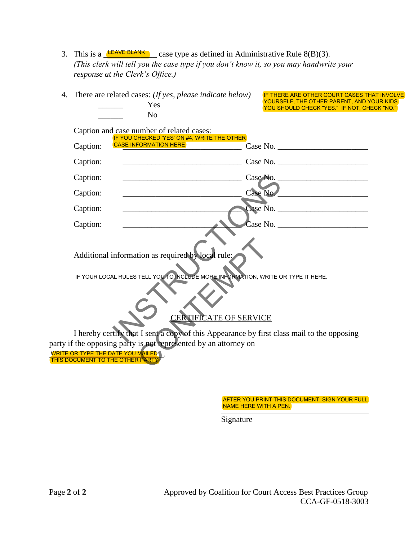3. This is a  $\triangle$ EAVE BLANK  $\triangle$  case type as defined in Administrative Rule 8(B)(3). *(This clerk will tell you the case type if you don't know it, so you may handwrite your response at the Clerk's Office.)*

|          | There are related cases: (If yes, please indicate below)<br>Yes<br>N <sub>o</sub>                                                                    |                                             | IF THERE ARE OTHER COURT CASES THAT INVOLVE<br>YOURSELF, THE OTHER PARENT, AND YOUR KIDS<br>YOU SHOULD CHECK "YES." IF NOT, CHECK "NO." |  |
|----------|------------------------------------------------------------------------------------------------------------------------------------------------------|---------------------------------------------|-----------------------------------------------------------------------------------------------------------------------------------------|--|
|          | Caption and case number of related cases:                                                                                                            | IF YOU CHECKED 'YES' ON #4, WRITE THE OTHER |                                                                                                                                         |  |
| Caption: | <b>CASE INFORMATION HERE.</b>                                                                                                                        |                                             |                                                                                                                                         |  |
| Caption: |                                                                                                                                                      |                                             | Case No.                                                                                                                                |  |
| Caption: |                                                                                                                                                      |                                             |                                                                                                                                         |  |
| Caption: |                                                                                                                                                      |                                             | Case No                                                                                                                                 |  |
| Caption: |                                                                                                                                                      |                                             |                                                                                                                                         |  |
| Caption: |                                                                                                                                                      |                                             | $\text{Case No.}$                                                                                                                       |  |
|          | Additional information as required by local rule:                                                                                                    |                                             |                                                                                                                                         |  |
|          |                                                                                                                                                      | <b>CERTIFICATE OF SERVICE</b>               | IF YOUR LOCAL RULES TELL YOU TO INCLUDE MORE INFORMATION, WRITE OR TYPE IT HERE.                                                        |  |
|          |                                                                                                                                                      |                                             | I hereby certify that I sent a copy of this Appearance by first class mail to the opposing                                              |  |
|          | party if the opposing party is not represented by an attorney on<br><b>WRITE OR TYPE THE DATE YOU MAILED \</b> .<br>THIS DOCUMENT TO THE OTHER PARTY |                                             |                                                                                                                                         |  |

AFTER YOU PRINT THIS DOCUMENT, SIGN YOUR FULL NAME HERE WITH A PEN.

Signature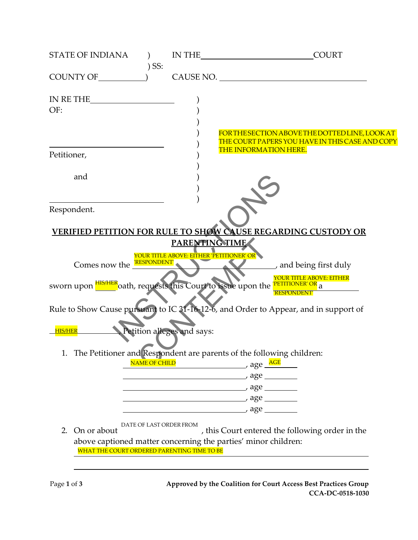| STATE OF INDIANA                            |         |                                          | IN THE COURT                                                                                      |
|---------------------------------------------|---------|------------------------------------------|---------------------------------------------------------------------------------------------------|
|                                             | $)$ SS: |                                          | CAUSE NO.                                                                                         |
| IN RETHE $\qquad \qquad$                    |         |                                          |                                                                                                   |
| OF:                                         |         |                                          |                                                                                                   |
|                                             |         |                                          |                                                                                                   |
|                                             |         |                                          | FOR THE SECTION ABOVE THE DOTTED LINE, LOOK AT<br>THE COURT PAPERS YOU HAVE IN THIS CASE AND COPY |
| Petitioner,                                 |         |                                          | THE INFORMATION HERE.                                                                             |
|                                             |         |                                          |                                                                                                   |
| and                                         |         |                                          |                                                                                                   |
|                                             |         |                                          |                                                                                                   |
| Respondent.                                 |         |                                          |                                                                                                   |
|                                             |         |                                          |                                                                                                   |
|                                             |         |                                          | <b>VERIFIED PETITION FOR RULE TO SHOW CAUSE REGARDING CUSTODY OR</b>                              |
|                                             |         | PARENTING TIME                           |                                                                                                   |
| Comes now the <b>EXPONDENT</b>              |         | YOUR TITLE ABOVE: EITHER 'PETITIONER' OR |                                                                                                   |
|                                             |         |                                          | and being first duly                                                                              |
|                                             |         |                                          | sworn upon <b>HIS/HER</b> oath, requests this Court to issue upon the <b>PETITIONER' OR</b> a     |
|                                             |         |                                          | <b><i>RESPONDENT</i></b>                                                                          |
|                                             |         |                                          | Rule to Show Cause pursuant to IC 31-16-12-6, and Order to Appear, and in support of              |
|                                             |         |                                          |                                                                                                   |
| <b>HIS/HER</b>                              |         | Petition alleges and says:               |                                                                                                   |
|                                             |         |                                          | 1. The Petitioner and Respondent are parents of the following children:                           |
|                                             |         |                                          | NAME OF CHILD age AGE                                                                             |
|                                             |         |                                          | $\overline{\phantom{a}}$ age $\overline{\phantom{a}}$                                             |
|                                             |         |                                          |                                                                                                   |
|                                             |         |                                          | $\overline{\phantom{a}}$ age $\overline{\phantom{a}}$                                             |
|                                             |         |                                          |                                                                                                   |
| On or about<br>2.                           |         | DATE OF LAST ORDER FROM                  | , this Court entered the following order in the                                                   |
|                                             |         |                                          | above captioned matter concerning the parties' minor children:                                    |
| WHAT THE COURT ORDERED PARENTING TIME TO BE |         |                                          |                                                                                                   |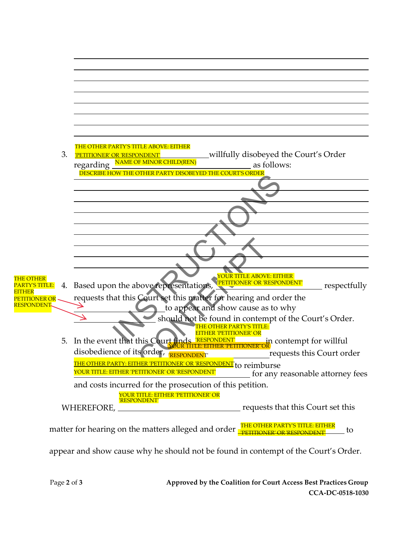

appear and show cause why he should not be found in contempt of the Court's Order.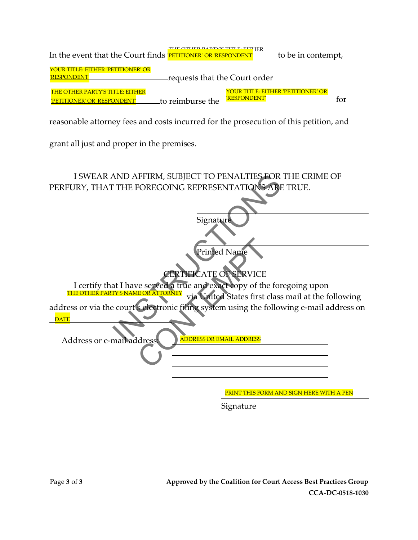| In the event that the Court finds <b>PETITIONER' OR 'RESPONDENT'</b>       | THE OTHER DARTV'S TITLE, EITHER |              | to be in contempt,                 |  |
|----------------------------------------------------------------------------|---------------------------------|--------------|------------------------------------|--|
| YOUR TITLE: EITHER 'PETITIONER' OR<br>'RESPONDENT'                         | -requests that the Court order  |              |                                    |  |
| <b>THE OTHER PARTY'S TITLE: EITHER</b><br><b>TITIONER' OR 'RESPONDENT'</b> | to reimburse the                | 'RESPONDENT' | YOUR TITLE: EITHER 'PETITIONER' OR |  |

reasonable attorney fees and costs incurred for the prosecution of this petition, and

grant all just and proper in the premises.

AND AFFIRM, SUBJECT TO PENALTIES FOR TITLE FOREGOING REPRESENTATIONS ARE IT IS SIGNATIONS ARE THE CATE OF SERVICE of SERVICE at I have served a true and exact copy of the foregoing the court is electronic filing system usi Printed Name<br>CERTIFICATE OF SERVICE<br>re served a true and exact copy of the<br>EORATIORNEY via United States first of<br>selectronic filing system using the formula of the set of the set of the set of the set of the set of the se I SWEAR AND AFFIRM, SUBJECT TO PENALTIES FOR THE CRIME OF PERFURY, THAT THE FOREGOING REPRESENTATIONS ARE TRUE. Signature Printed Name **CATE OF SERVICE** I certify that I have served a true and exact copy of the foregoing upon THE OTHER PARTY'S NAME OR ATTORNEY via United States first class mail at the following address or via the court's electronic filing system using the following e-mail address on  $\overline{DATE}$  . The set of  $\overline{DE}$ Address or e-mail address: ADDRESS OR EMAIL ADDRESS PRINT THIS FORM AND SIGN HERE WITH A PEN

Signature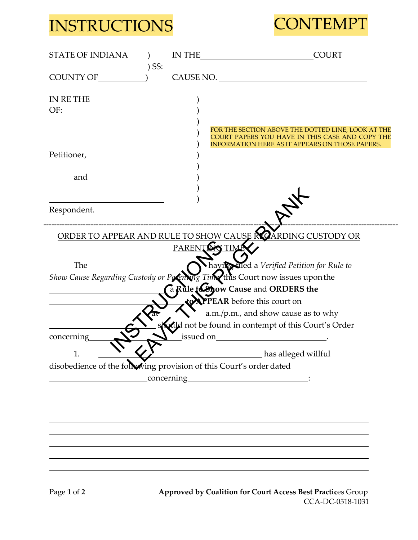## INSTRUCTIONS CONTEMPT



| <b>STATE OF INDIANA</b>                                                                                                                                                                                                       |         |           | <b>COURT</b>                                                                                                                                                    |
|-------------------------------------------------------------------------------------------------------------------------------------------------------------------------------------------------------------------------------|---------|-----------|-----------------------------------------------------------------------------------------------------------------------------------------------------------------|
| COUNTY OF (2)                                                                                                                                                                                                                 | $)$ SS: |           | CAUSE NO.                                                                                                                                                       |
| IN RETHE<br>OF:                                                                                                                                                                                                               |         |           |                                                                                                                                                                 |
| Petitioner,                                                                                                                                                                                                                   |         |           | FOR THE SECTION ABOVE THE DOTTED LINE, LOOK AT THE<br>COURT PAPERS YOU HAVE IN THIS CASE AND COPY THE<br><b>INFORMATION HERE AS IT APPEARS ON THOSE PAPERS.</b> |
| and                                                                                                                                                                                                                           |         |           |                                                                                                                                                                 |
| Respondent.                                                                                                                                                                                                                   |         |           |                                                                                                                                                                 |
|                                                                                                                                                                                                                               |         |           | ORDER TO APPEAR AND RULE TO SHOW CAUSE ROARDING CUSTODY OR                                                                                                      |
|                                                                                                                                                                                                                               |         |           | PARENTING TIME                                                                                                                                                  |
| The the state of the state of the state of the state of the state of the state of the state of the state of the state of the state of the state of the state of the state of the state of the state of the state of the state |         |           | having filed a Verified Petition for Rule to                                                                                                                    |
|                                                                                                                                                                                                                               |         |           | Show Cause Regarding Custody or Potenting Time this Court now issues upon the<br>a Rule to yow Cause and ORDERS the                                             |
|                                                                                                                                                                                                                               |         |           | <b>to APPEAR</b> before this court on                                                                                                                           |
|                                                                                                                                                                                                                               |         |           | $\frac{1}{2}$ a.m./p.m., and show cause as to why                                                                                                               |
|                                                                                                                                                                                                                               |         |           | <b>Kolld</b> not be found in contempt of this Court's Order                                                                                                     |
| concerning                                                                                                                                                                                                                    |         | issued on | <u> 1990 - Jan Barat, prima politik (</u>                                                                                                                       |
| T.                                                                                                                                                                                                                            |         |           | has alleged willful                                                                                                                                             |
| disobedience of the following provision of this Court's order dated                                                                                                                                                           |         |           |                                                                                                                                                                 |
|                                                                                                                                                                                                                               |         |           |                                                                                                                                                                 |
|                                                                                                                                                                                                                               |         |           |                                                                                                                                                                 |
|                                                                                                                                                                                                                               |         |           |                                                                                                                                                                 |
|                                                                                                                                                                                                                               |         |           |                                                                                                                                                                 |
|                                                                                                                                                                                                                               |         |           |                                                                                                                                                                 |
|                                                                                                                                                                                                                               |         |           |                                                                                                                                                                 |
|                                                                                                                                                                                                                               |         |           |                                                                                                                                                                 |

Page 1 of 2 **Approved by Coalition for Court Access Best Practices Group** CCA-DC-0518-1031